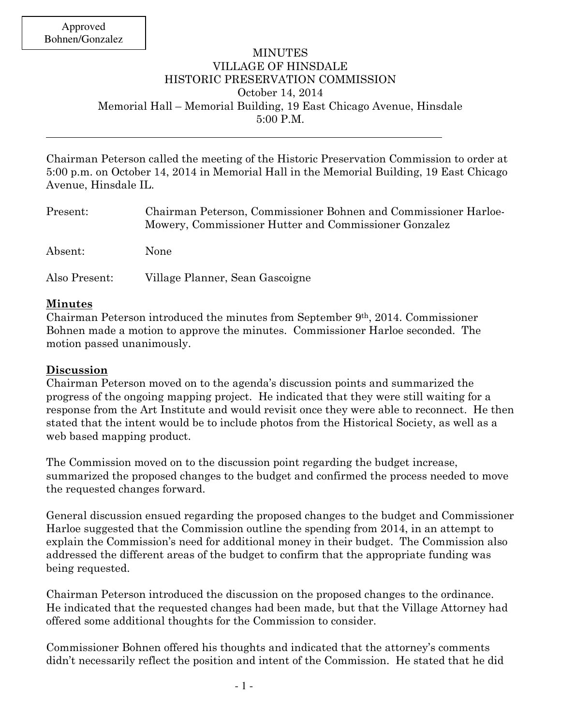## MINUTES VILLAGE OF HINSDALE HISTORIC PRESERVATION COMMISSION October 14, 2014 Memorial Hall – Memorial Building, 19 East Chicago Avenue, Hinsdale 5:00 P.M.

Chairman Peterson called the meeting of the Historic Preservation Commission to order at 5:00 p.m. on October 14, 2014 in Memorial Hall in the Memorial Building, 19 East Chicago Avenue, Hinsdale IL.

| Present:      | Chairman Peterson, Commissioner Bohnen and Commissioner Harloe-<br>Mowery, Commissioner Hutter and Commissioner Gonzalez |
|---------------|--------------------------------------------------------------------------------------------------------------------------|
| Absent:       | None                                                                                                                     |
| Also Present: | Village Planner, Sean Gascoigne                                                                                          |

## **Minutes**

Chairman Peterson introduced the minutes from September  $9<sup>th</sup>$ , 2014. Commissioner Bohnen made a motion to approve the minutes. Commissioner Harloe seconded. The motion passed unanimously.

## **Discussion**

Chairman Peterson moved on to the agenda's discussion points and summarized the progress of the ongoing mapping project. He indicated that they were still waiting for a response from the Art Institute and would revisit once they were able to reconnect. He then stated that the intent would be to include photos from the Historical Society, as well as a web based mapping product.

The Commission moved on to the discussion point regarding the budget increase, summarized the proposed changes to the budget and confirmed the process needed to move the requested changes forward.

General discussion ensued regarding the proposed changes to the budget and Commissioner Harloe suggested that the Commission outline the spending from 2014, in an attempt to explain the Commission's need for additional money in their budget. The Commission also addressed the different areas of the budget to confirm that the appropriate funding was being requested.

Chairman Peterson introduced the discussion on the proposed changes to the ordinance. He indicated that the requested changes had been made, but that the Village Attorney had offered some additional thoughts for the Commission to consider.

Commissioner Bohnen offered his thoughts and indicated that the attorney's comments didn't necessarily reflect the position and intent of the Commission. He stated that he did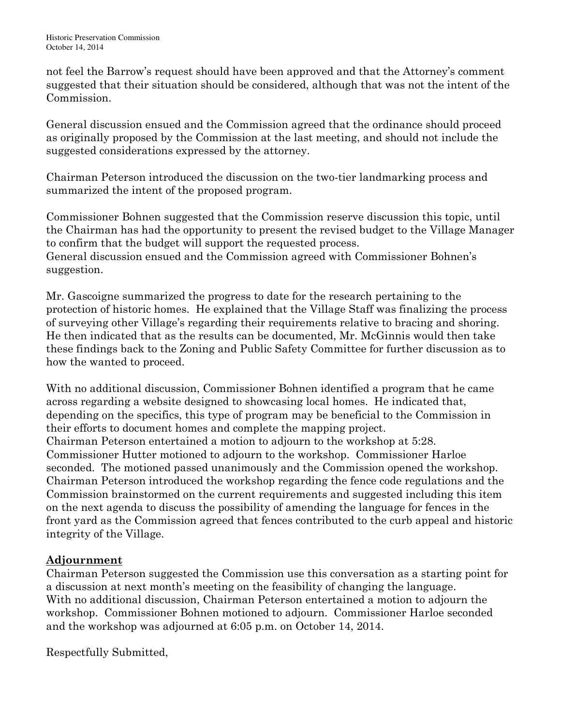not feel the Barrow's request should have been approved and that the Attorney's comment suggested that their situation should be considered, although that was not the intent of the Commission.

General discussion ensued and the Commission agreed that the ordinance should proceed as originally proposed by the Commission at the last meeting, and should not include the suggested considerations expressed by the attorney.

Chairman Peterson introduced the discussion on the two-tier landmarking process and summarized the intent of the proposed program.

Commissioner Bohnen suggested that the Commission reserve discussion this topic, until the Chairman has had the opportunity to present the revised budget to the Village Manager to confirm that the budget will support the requested process.

General discussion ensued and the Commission agreed with Commissioner Bohnen's suggestion.

Mr. Gascoigne summarized the progress to date for the research pertaining to the protection of historic homes. He explained that the Village Staff was finalizing the process of surveying other Village's regarding their requirements relative to bracing and shoring. He then indicated that as the results can be documented, Mr. McGinnis would then take these findings back to the Zoning and Public Safety Committee for further discussion as to how the wanted to proceed.

With no additional discussion, Commissioner Bohnen identified a program that he came across regarding a website designed to showcasing local homes. He indicated that, depending on the specifics, this type of program may be beneficial to the Commission in their efforts to document homes and complete the mapping project. Chairman Peterson entertained a motion to adjourn to the workshop at 5:28. Commissioner Hutter motioned to adjourn to the workshop. Commissioner Harloe seconded. The motioned passed unanimously and the Commission opened the workshop. Chairman Peterson introduced the workshop regarding the fence code regulations and the Commission brainstormed on the current requirements and suggested including this item on the next agenda to discuss the possibility of amending the language for fences in the front yard as the Commission agreed that fences contributed to the curb appeal and historic integrity of the Village.

## **Adjournment**

Chairman Peterson suggested the Commission use this conversation as a starting point for a discussion at next month's meeting on the feasibility of changing the language. With no additional discussion, Chairman Peterson entertained a motion to adjourn the workshop. Commissioner Bohnen motioned to adjourn. Commissioner Harloe seconded and the workshop was adjourned at 6:05 p.m. on October 14, 2014.

Respectfully Submitted,